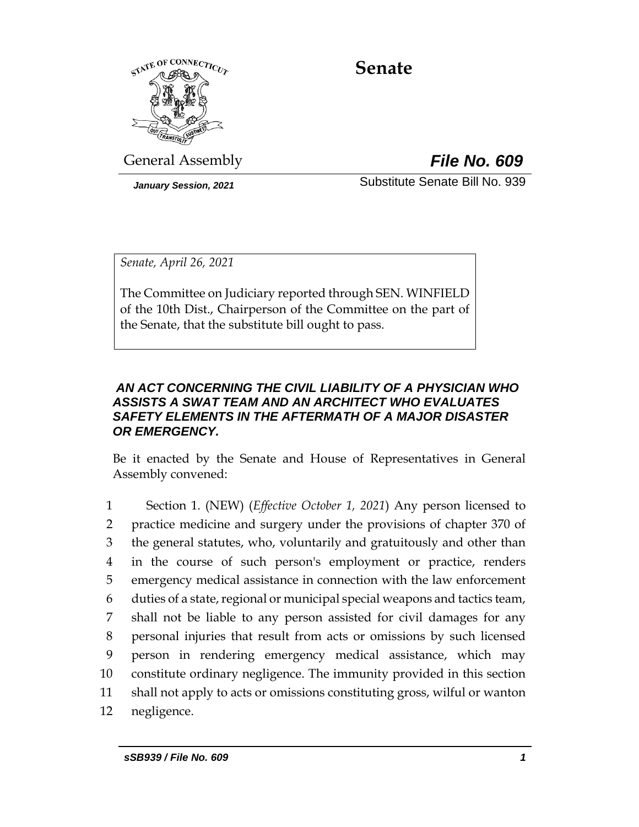

# **Senate**

General Assembly *File No. 609*

*January Session, 2021* Substitute Senate Bill No. 939

*Senate, April 26, 2021*

The Committee on Judiciary reported through SEN. WINFIELD of the 10th Dist., Chairperson of the Committee on the part of the Senate, that the substitute bill ought to pass.

#### *AN ACT CONCERNING THE CIVIL LIABILITY OF A PHYSICIAN WHO ASSISTS A SWAT TEAM AND AN ARCHITECT WHO EVALUATES SAFETY ELEMENTS IN THE AFTERMATH OF A MAJOR DISASTER OR EMERGENCY.*

Be it enacted by the Senate and House of Representatives in General Assembly convened:

 Section 1. (NEW) (*Effective October 1, 2021*) Any person licensed to practice medicine and surgery under the provisions of chapter 370 of the general statutes, who, voluntarily and gratuitously and other than in the course of such person's employment or practice, renders emergency medical assistance in connection with the law enforcement duties of a state, regional or municipal special weapons and tactics team, shall not be liable to any person assisted for civil damages for any personal injuries that result from acts or omissions by such licensed person in rendering emergency medical assistance, which may constitute ordinary negligence. The immunity provided in this section shall not apply to acts or omissions constituting gross, wilful or wanton negligence.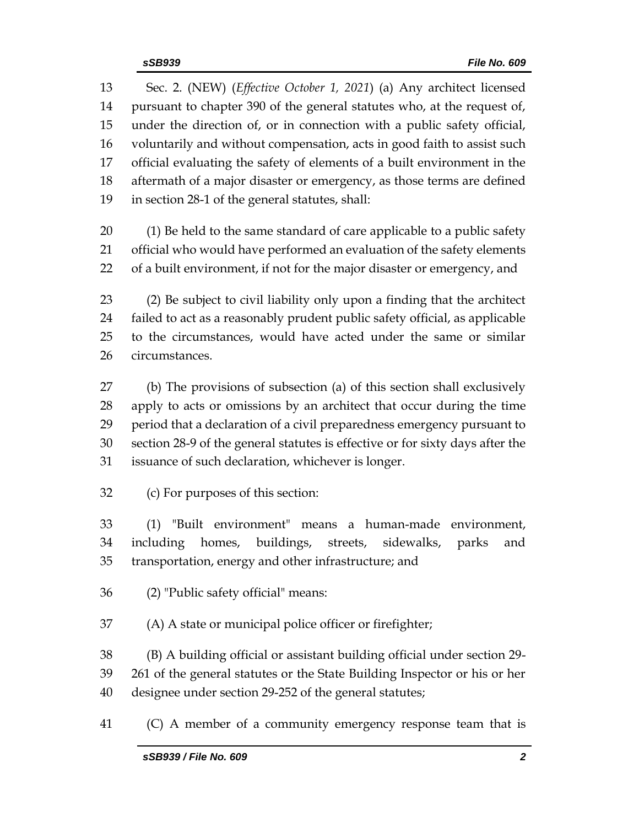Sec. 2. (NEW) (*Effective October 1, 2021*) (a) Any architect licensed pursuant to chapter 390 of the general statutes who, at the request of, under the direction of, or in connection with a public safety official, voluntarily and without compensation, acts in good faith to assist such official evaluating the safety of elements of a built environment in the aftermath of a major disaster or emergency, as those terms are defined in section 28-1 of the general statutes, shall:

 (1) Be held to the same standard of care applicable to a public safety official who would have performed an evaluation of the safety elements of a built environment, if not for the major disaster or emergency, and

 (2) Be subject to civil liability only upon a finding that the architect failed to act as a reasonably prudent public safety official, as applicable to the circumstances, would have acted under the same or similar circumstances.

 (b) The provisions of subsection (a) of this section shall exclusively apply to acts or omissions by an architect that occur during the time period that a declaration of a civil preparedness emergency pursuant to section 28-9 of the general statutes is effective or for sixty days after the issuance of such declaration, whichever is longer.

(c) For purposes of this section:

 (1) "Built environment" means a human-made environment, including homes, buildings, streets, sidewalks, parks and transportation, energy and other infrastructure; and

(2) "Public safety official" means:

(A) A state or municipal police officer or firefighter;

 (B) A building official or assistant building official under section 29- 261 of the general statutes or the State Building Inspector or his or her designee under section 29-252 of the general statutes;

(C) A member of a community emergency response team that is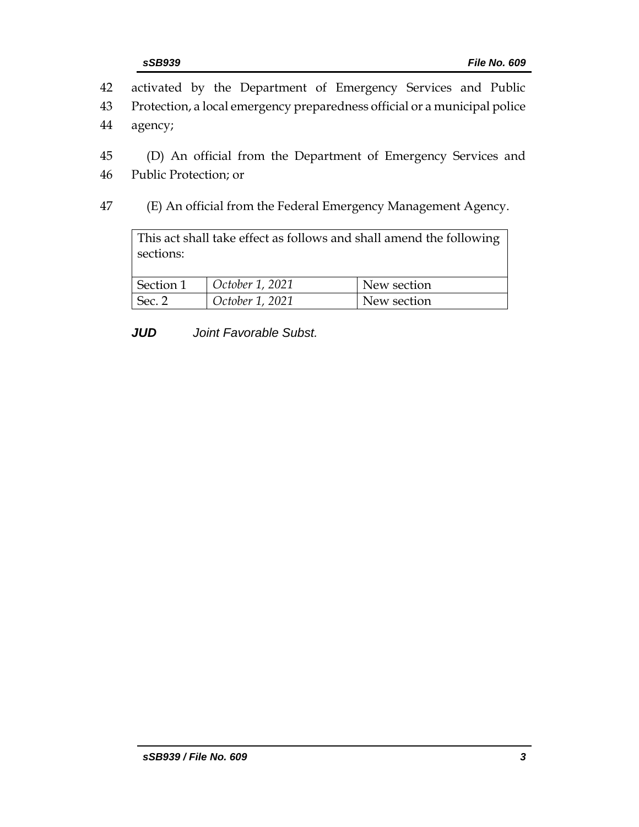- 42 activated by the Department of Emergency Services and Public 43 Protection, a local emergency preparedness official or a municipal police
- 44 agency;
- 45 (D) An official from the Department of Emergency Services and
- 46 Public Protection; or
- 47 (E) An official from the Federal Emergency Management Agency.

This act shall take effect as follows and shall amend the following sections: Section 1 *October 1, 2021* New section Sec. 2 *October 1, 2021* New section

*JUD Joint Favorable Subst.*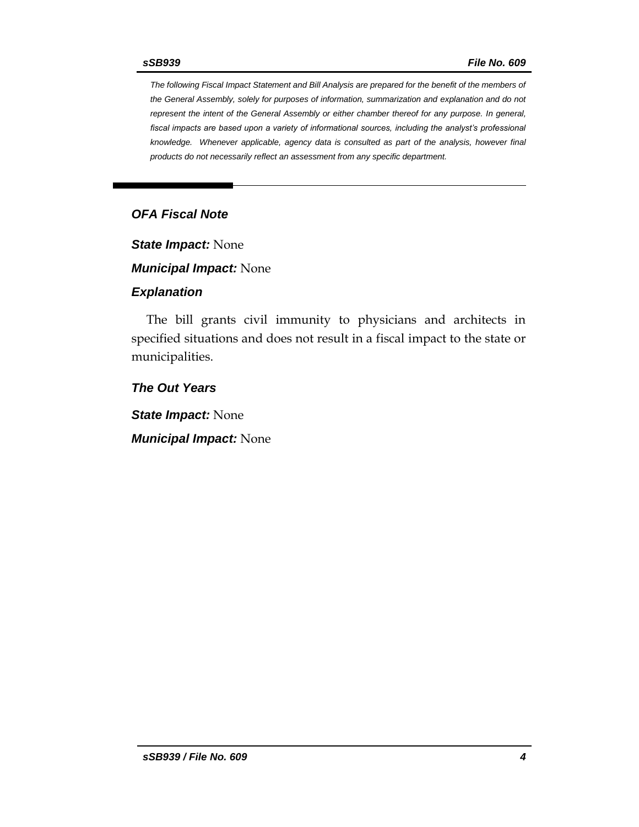*The following Fiscal Impact Statement and Bill Analysis are prepared for the benefit of the members of the General Assembly, solely for purposes of information, summarization and explanation and do not represent the intent of the General Assembly or either chamber thereof for any purpose. In general, fiscal impacts are based upon a variety of informational sources, including the analyst's professional knowledge. Whenever applicable, agency data is consulted as part of the analysis, however final products do not necessarily reflect an assessment from any specific department.*

#### *OFA Fiscal Note*

*State Impact:* None

*Municipal Impact:* None

#### *Explanation*

The bill grants civil immunity to physicians and architects in specified situations and does not result in a fiscal impact to the state or municipalities.

*The Out Years*

*State Impact:* None

*Municipal Impact:* None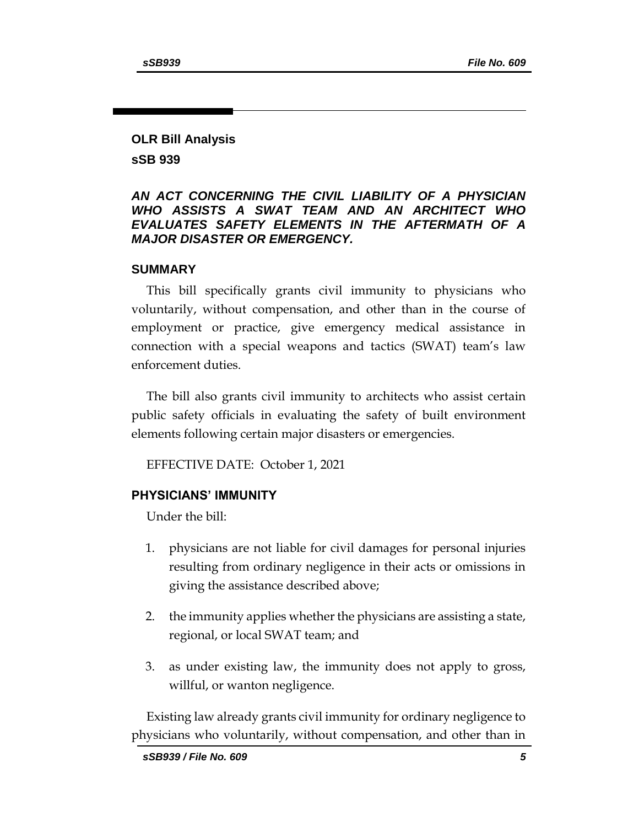## **OLR Bill Analysis sSB 939**

#### *AN ACT CONCERNING THE CIVIL LIABILITY OF A PHYSICIAN WHO ASSISTS A SWAT TEAM AND AN ARCHITECT WHO EVALUATES SAFETY ELEMENTS IN THE AFTERMATH OF A MAJOR DISASTER OR EMERGENCY.*

#### **SUMMARY**

This bill specifically grants civil immunity to physicians who voluntarily, without compensation, and other than in the course of employment or practice, give emergency medical assistance in connection with a special weapons and tactics (SWAT) team's law enforcement duties.

The bill also grants civil immunity to architects who assist certain public safety officials in evaluating the safety of built environment elements following certain major disasters or emergencies.

EFFECTIVE DATE: October 1, 2021

#### **PHYSICIANS' IMMUNITY**

Under the bill:

- 1. physicians are not liable for civil damages for personal injuries resulting from ordinary negligence in their acts or omissions in giving the assistance described above;
- 2. the immunity applies whether the physicians are assisting a state, regional, or local SWAT team; and
- 3. as under existing law, the immunity does not apply to gross, willful, or wanton negligence.

Existing law already grants civil immunity for ordinary negligence to physicians who voluntarily, without compensation, and other than in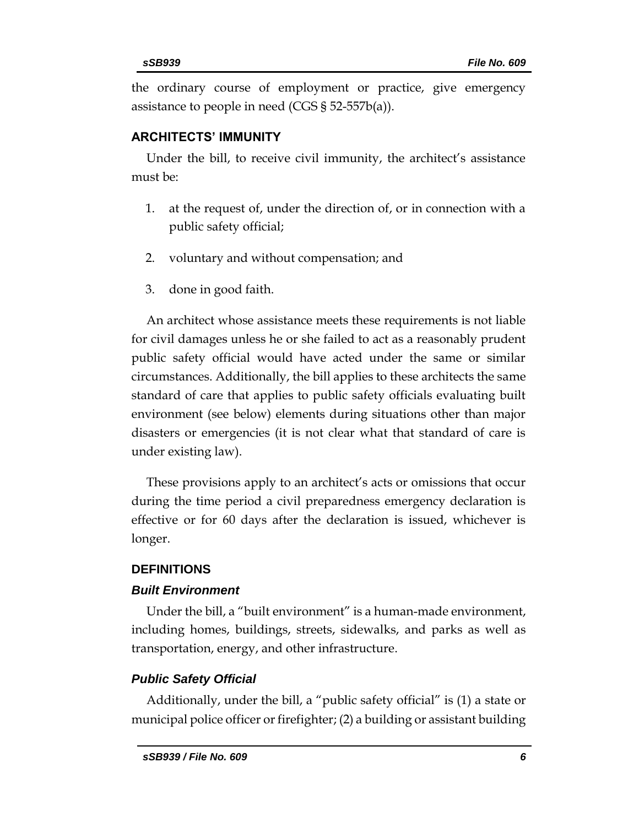the ordinary course of employment or practice, give emergency assistance to people in need (CGS § 52-557b(a)).

## **ARCHITECTS' IMMUNITY**

Under the bill, to receive civil immunity, the architect's assistance must be:

- 1. at the request of, under the direction of, or in connection with a public safety official;
- 2. voluntary and without compensation; and
- 3. done in good faith.

An architect whose assistance meets these requirements is not liable for civil damages unless he or she failed to act as a reasonably prudent public safety official would have acted under the same or similar circumstances. Additionally, the bill applies to these architects the same standard of care that applies to public safety officials evaluating built environment (see below) elements during situations other than major disasters or emergencies (it is not clear what that standard of care is under existing law).

These provisions apply to an architect's acts or omissions that occur during the time period a civil preparedness emergency declaration is effective or for 60 days after the declaration is issued, whichever is longer.

## **DEFINITIONS**

## *Built Environment*

Under the bill, a "built environment" is a human-made environment, including homes, buildings, streets, sidewalks, and parks as well as transportation, energy, and other infrastructure.

# *Public Safety Official*

Additionally, under the bill, a "public safety official" is (1) a state or municipal police officer or firefighter; (2) a building or assistant building